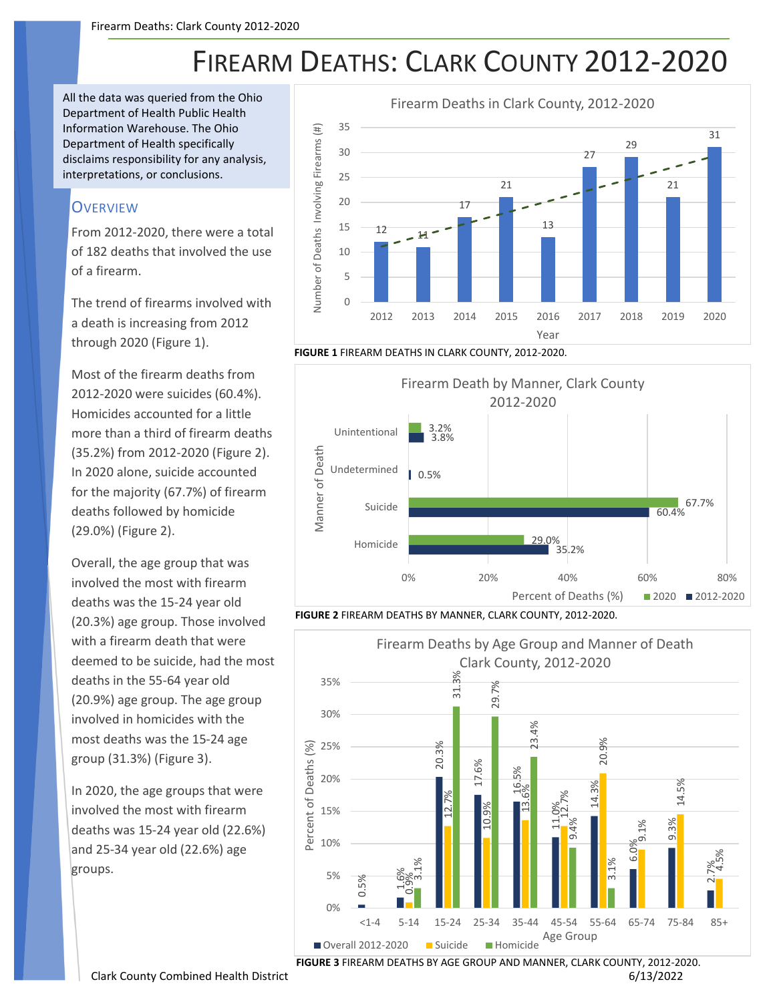## FIREARM DEATHS: CLARK COUNTY 2012-2020

All the data was queried from the Ohio Department of Health Public Health Information Warehouse. The Ohio Department of Health specifically disclaims responsibility for any analysis, interpretations, or conclusions.

## **OVERVIEW**

From 2012-2020, there were a total of 182 deaths that involved the use of a firearm.

The trend of firearms involved with a death is increasing from 2012 through 2020 (Figure 1).

Most of the firearm deaths from 2012-2020 were suicides (60.4%). Homicides accounted for a little more than a third of firearm deaths (35.2%) from 2012-2020 (Figure 2). In 2020 alone, suicide accounted for the majority (67.7%) of firearm deaths followed by homicide (29.0%) (Figure 2).

Overall, the age group that was involved the most with firearm deaths was the 15-24 year old (20.3%) age group. Those involved with a firearm death that were deemed to be suicide, had the most deaths in the 55-64 year old (20.9%) age group. The age group involved in homicides with the most deaths was the 15-24 age group (31.3%) (Figure 3).

In 2020, the age groups that were involved the most with firearm deaths was 15-24 year old (22.6%) and 25-34 year old (22.6%) age groups.







**FIGURE 2** FIREARM DEATHS BY MANNER, CLARK COUNTY, 2012-2020.



**FIGURE 3** FIREARM DEATHS BY AGE GROUP AND MANNER, CLARK COUNTY, 2012-2020.